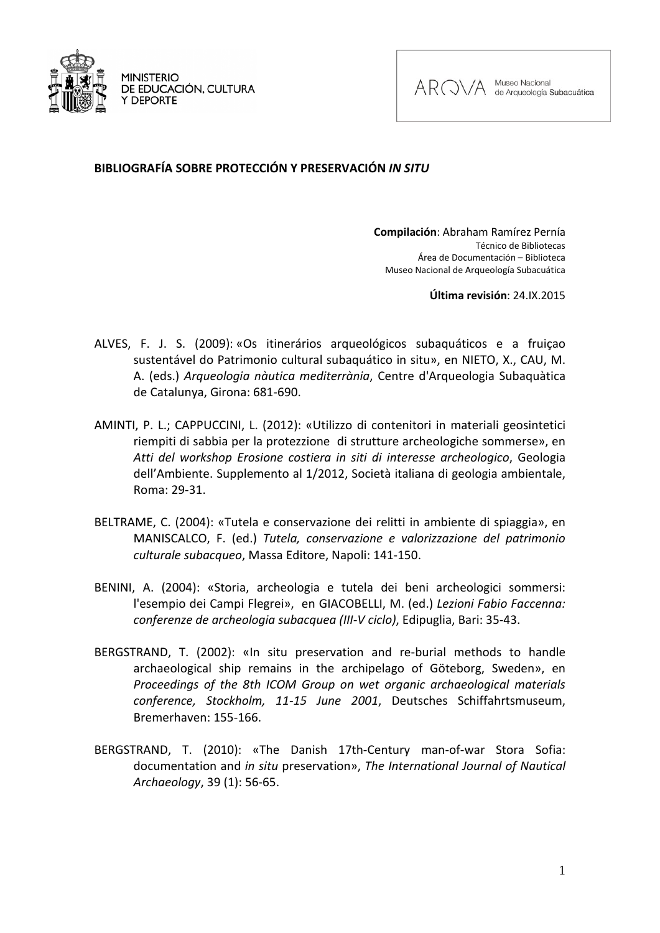

**MINISTERIO** DE EDUCACIÓN, CULTURA Y DEPORTE



Museo Nacional de Arqueología Subacuática

## **BIBLIOGRAFÍA SOBRE PROTECCIÓN Y PRESERVACIÓN** *IN SITU*

**Compilación**: Abraham Ramírez Pernía Técnico de Bibliotecas Área de Documentación – Biblioteca Museo Nacional de Arqueología Subacuática

**Última revisión**: 24.IX.2015

- ALVES, F. J. S. (2009): «Os itinerários arqueológicos subaquáticos e a fruiçao sustentável do Patrimonio cultural subaquático in situ», en NIETO, X., CAU, M. A. (eds.) *Arqueologia nàutica mediterrània*, Centre d'Arqueologia Subaquàtica de Catalunya, Girona: 681-690.
- AMINTI, P. L.; CAPPUCCINI, L. (2012): «Utilizzo di contenitori in materiali geosintetici riempiti di sabbia per la protezzione di strutture archeologiche sommerse», en *Atti del workshop Erosione costiera in siti di interesse archeologico*, Geologia dell'Ambiente. Supplemento al 1/2012, Società italiana di geologia ambientale, Roma: 29-31.
- BELTRAME, C. (2004): «Tutela e conservazione dei relitti in ambiente di spiaggia», en MANISCALCO, F. (ed.) *Tutela, conservazione e valorizzazione del patrimonio culturale subacqueo*, Massa Editore, Napoli: 141-150.
- BENINI, A. (2004): «Storia, archeologia e tutela dei beni archeologici sommersi: l'esempio dei Campi Flegrei», en GIACOBELLI, M. (ed.) *Lezioni Fabio Faccenna: conferenze de archeologia subacquea (III-V ciclo)*, Edipuglia, Bari: 35-43.
- BERGSTRAND, T. (2002): «In situ preservation and re-burial methods to handle archaeological ship remains in the archipelago of Göteborg, Sweden», en *Proceedings of the 8th ICOM Group on wet organic archaeological materials conference, Stockholm, 11-15 June 2001*, Deutsches Schiffahrtsmuseum, Bremerhaven: 155-166.
- BERGSTRAND, T. (2010): «The Danish 17th-Century man-of-war Stora Sofia: documentation and *in situ* preservation», *The International Journal of Nautical Archaeology*, 39 (1): 56-65.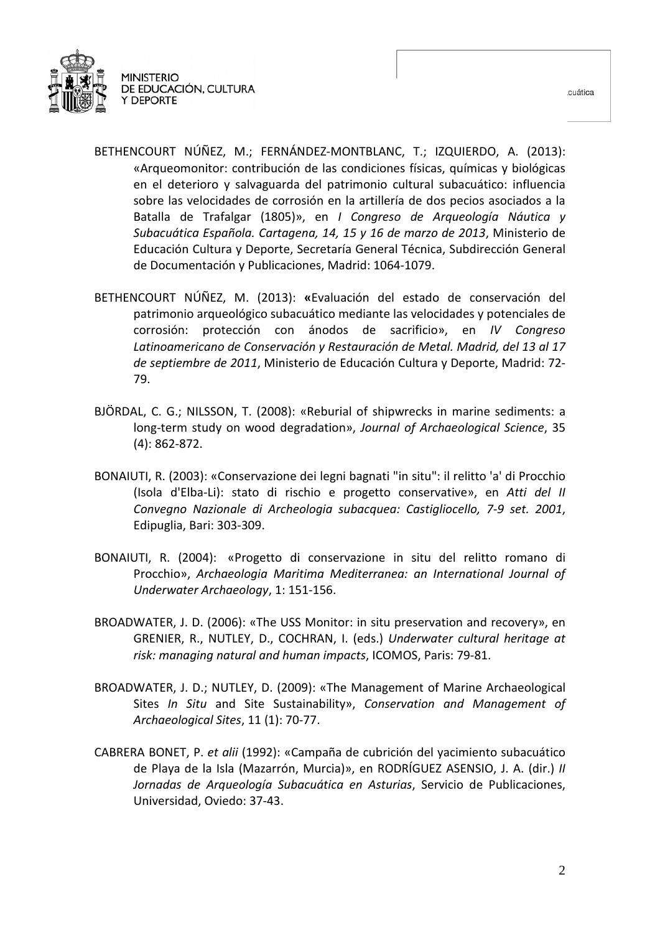

- BETHENCOURT NÚÑEZ, M.; FERNÁNDEZ-MONTBLANC, T.; IZQUIERDO, A. (2013): «Arqueomonitor: contribución de las condiciones físicas, químicas y biológicas en el deterioro y salvaguarda del patrimonio cultural subacuático: influencia sobre las velocidades de corrosión en la artillería de dos pecios asociados a la Batalla de Trafalgar (1805)», en *I Congreso de Arqueología Náutica y Subacuática Española. Cartagena, 14, 15 y 16 de marzo de 2013*, Ministerio de Educación Cultura y Deporte, Secretaría General Técnica, Subdirección General de Documentación y Publicaciones, Madrid: 1064-1079.
- BETHENCOURT NÚÑEZ, M. (2013): **«**Evaluación del estado de conservación del patrimonio arqueológico subacuático mediante las velocidades y potenciales de corrosión: protección con ánodos de sacrificio», en *IV Congreso Latinoamericano de Conservación y Restauración de Metal. Madrid, del 13 al 17 de septiembre de 2011*, Ministerio de Educación Cultura y Deporte, Madrid: 72- 79.
- BJÖRDAL, C. G.; NILSSON, T. (2008): «Reburial of shipwrecks in marine sediments: a long-term study on wood degradation», *Journal of Archaeological Science*, 35 (4): 862-872.
- BONAIUTI, R. (2003): «Conservazione dei legni bagnati "in situ": il relitto 'a' di Procchio (Isola d'Elba-Li): stato di rischio e progetto conservative», en *Atti del II Convegno Nazionale di Archeologia subacquea: Castigliocello, 7-9 set. 2001*, Edipuglia, Bari: 303-309.
- BONAIUTI, R. (2004): «Progetto di conservazione in situ del relitto romano di Procchio», *Archaeologia Maritima Mediterranea: an International Journal of Underwater Archaeology*, 1: 151-156.
- BROADWATER, J. D. (2006): «The USS Monitor: in situ preservation and recovery», en GRENIER, R., NUTLEY, D., COCHRAN, I. (eds.) *Underwater cultural heritage at risk: managing natural and human impacts*, ICOMOS, Paris: 79-81.
- BROADWATER, J. D.; NUTLEY, D. (2009): «The Management of Marine Archaeological Sites *In Situ* and Site Sustainability», *Conservation and Management of Archaeological Sites*, 11 (1): 70-77.
- CABRERA BONET, P. *et alii* (1992): «Campaña de cubrición del yacimiento subacuático de Playa de la Isla (Mazarrón, Murcia)», en RODRÍGUEZ ASENSIO, J. A. (dir.) *II Jornadas de Arqueología Subacuática en Asturias*, Servicio de Publicaciones, Universidad, Oviedo: 37-43.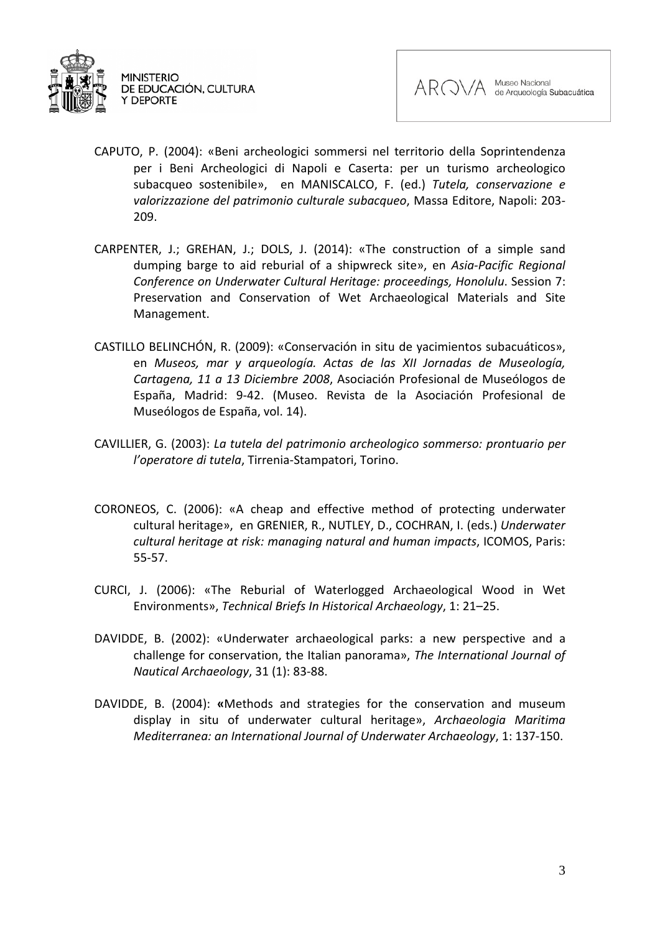



- CAPUTO, P. (2004): «Beni archeologici sommersi nel territorio della Soprintendenza per i Beni Archeologici di Napoli e Caserta: per un turismo archeologico subacqueo sostenibile», en MANISCALCO, F. (ed.) *Tutela, conservazione e valorizzazione del patrimonio culturale subacqueo*, Massa Editore, Napoli: 203- 209.
- CARPENTER, J.; GREHAN, J.; DOLS, J. (2014): «The construction of a simple sand dumping barge to aid reburial of a shipwreck site», en *Asia-Pacific Regional Conference on Underwater Cultural Heritage: proceedings, Honolulu*. Session 7: Preservation and Conservation of Wet Archaeological Materials and Site Management.
- CASTILLO BELINCHÓN, R. (2009): «Conservación in situ de yacimientos subacuáticos», en *Museos, mar y arqueología. Actas de las XII Jornadas de Museología, Cartagena, 11 a 13 Diciembre 2008*, Asociación Profesional de Museólogos de España, Madrid: 9-42. (Museo. Revista de la Asociación Profesional de Museólogos de España, vol. 14).
- CAVILLIER, G. (2003): *La tutela del patrimonio archeologico sommerso: prontuario per l'operatore di tutela*, Tirrenia-Stampatori, Torino.
- CORONEOS, C. (2006): «A cheap and effective method of protecting underwater cultural heritage», en GRENIER, R., NUTLEY, D., COCHRAN, I. (eds.) *Underwater cultural heritage at risk: managing natural and human impacts*, ICOMOS, Paris: 55-57.
- CURCI, J. (2006): «The Reburial of Waterlogged Archaeological Wood in Wet Environments», *Technical Briefs In Historical Archaeology*, 1: 21–25.
- DAVIDDE, B. (2002): «Underwater archaeological parks: a new perspective and a challenge for conservation, the Italian panorama», *The International Journal of Nautical Archaeology*, 31 (1): 83-88.
- DAVIDDE, B. (2004): **«**Methods and strategies for the conservation and museum display in situ of underwater cultural heritage», *Archaeologia Maritima Mediterranea: an International Journal of Underwater Archaeology*, 1: 137-150.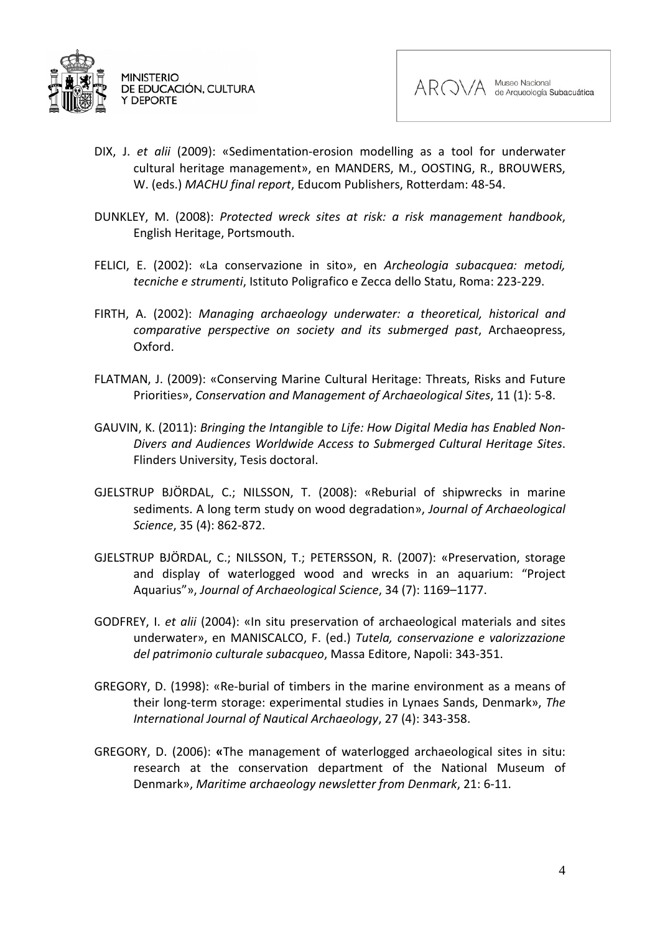



- DIX, J. *et alii* (2009): «Sedimentation-erosion modelling as a tool for underwater cultural heritage management», en MANDERS, M., OOSTING, R., BROUWERS, W. (eds.) *MACHU final report*, Educom Publishers, Rotterdam: 48-54.
- DUNKLEY, M. (2008): *Protected wreck sites at risk: a risk management handbook*, English Heritage, Portsmouth.
- FELICI, E. (2002): «La conservazione in sito», en *Archeologia subacquea: metodi, tecniche e strumenti*, Istituto Poligrafico e Zecca dello Statu, Roma: 223-229.
- FIRTH, A. (2002): *Managing archaeology underwater: a theoretical, historical and comparative perspective on society and its submerged past*, Archaeopress, Oxford.
- FLATMAN, J. (2009): «Conserving Marine Cultural Heritage: Threats, Risks and Future Priorities», *Conservation and Management of Archaeological Sites*, 11 (1): 5-8.
- GAUVIN, K. (2011): *Bringing the Intangible to Life: How Digital Media has Enabled Non-Divers and Audiences Worldwide Access to Submerged Cultural Heritage Sites*. Flinders University, Tesis doctoral.
- GJELSTRUP BJÖRDAL, C.; NILSSON, T. (2008): «Reburial of shipwrecks in marine sediments. A long term study on wood degradation», *Journal of Archaeological Science*, 35 (4): 862-872.
- GJELSTRUP BJÖRDAL, C.; NILSSON, T.; PETERSSON, R. (2007): «Preservation, storage and display of waterlogged wood and wrecks in an aquarium: "Project Aquarius"», *Journal of Archaeological Science*, 34 (7): 1169–1177.
- GODFREY, I. *et alii* (2004): «In situ preservation of archaeological materials and sites underwater», en MANISCALCO, F. (ed.) *Tutela, conservazione e valorizzazione del patrimonio culturale subacqueo*, Massa Editore, Napoli: 343-351.
- GREGORY, D. (1998): «Re-burial of timbers in the marine environment as a means of their long-term storage: experimental studies in Lynaes Sands, Denmark», *The International Journal of Nautical Archaeology*, 27 (4): 343-358.
- GREGORY, D. (2006): **«**The management of waterlogged archaeological sites in situ: research at the conservation department of the National Museum of Denmark», *Maritime archaeology newsletter from Denmark*, 21: 6-11.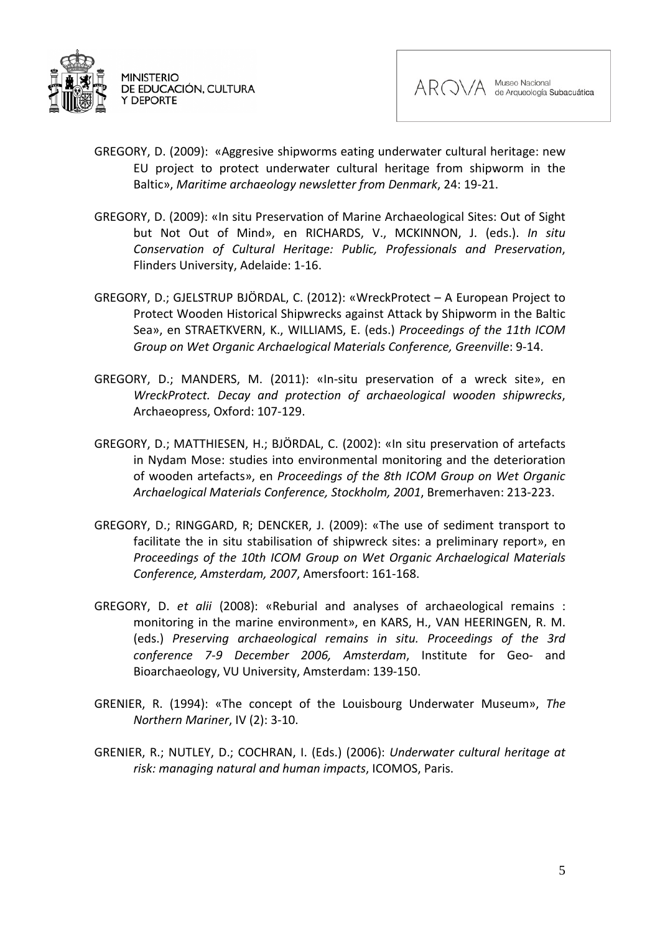



- GREGORY, D. (2009): «Aggresive shipworms eating underwater cultural heritage: new EU project to protect underwater cultural heritage from shipworm in the Baltic», *Maritime archaeology newsletter from Denmark*, 24: 19-21.
- GREGORY, D. (2009): «In situ Preservation of Marine Archaeological Sites: Out of Sight but Not Out of Mind», en RICHARDS, V., MCKINNON, J. (eds.). *In situ Conservation of Cultural Heritage: Public, Professionals and Preservation*, Flinders University, Adelaide: 1-16.
- GREGORY, D.; GJELSTRUP BJÖRDAL, C. (2012): «WreckProtect A European Project to Protect Wooden Historical Shipwrecks against Attack by Shipworm in the Baltic Sea», en STRAETKVERN, K., WILLIAMS, E. (eds.) *Proceedings of the 11th ICOM Group on Wet Organic Archaelogical Materials Conference, Greenville*: 9-14.
- GREGORY, D.; MANDERS, M. (2011): «In-situ preservation of a wreck site», en *WreckProtect. Decay and protection of archaeological wooden shipwrecks*, Archaeopress, Oxford: 107-129.
- GREGORY, D.; MATTHIESEN, H.; BJÖRDAL, C. (2002): «In situ preservation of artefacts in Nydam Mose: studies into environmental monitoring and the deterioration of wooden artefacts», en *Proceedings of the 8th ICOM Group on Wet Organic Archaelogical Materials Conference, Stockholm, 2001*, Bremerhaven: 213-223.
- GREGORY, D.; RINGGARD, R; DENCKER, J. (2009): «The use of sediment transport to facilitate the in situ stabilisation of shipwreck sites: a preliminary report», en *Proceedings of the 10th ICOM Group on Wet Organic Archaelogical Materials Conference, Amsterdam, 2007*, Amersfoort: 161-168.
- GREGORY, D. *et alii* (2008): «Reburial and analyses of archaeological remains : monitoring in the marine environment», en KARS, H., VAN HEERINGEN, R. M. (eds.) *Preserving archaeological remains in situ. Proceedings of the 3rd conference 7-9 December 2006, Amsterdam*, Institute for Geo- and Bioarchaeology, VU University, Amsterdam: 139-150.
- GRENIER, R. (1994): «The concept of the Louisbourg Underwater Museum», *The Northern Mariner*, IV (2): 3-10.
- GRENIER, R.; NUTLEY, D.; COCHRAN, I. (Eds.) (2006): *Underwater cultural heritage at risk: managing natural and human impacts*, ICOMOS, Paris.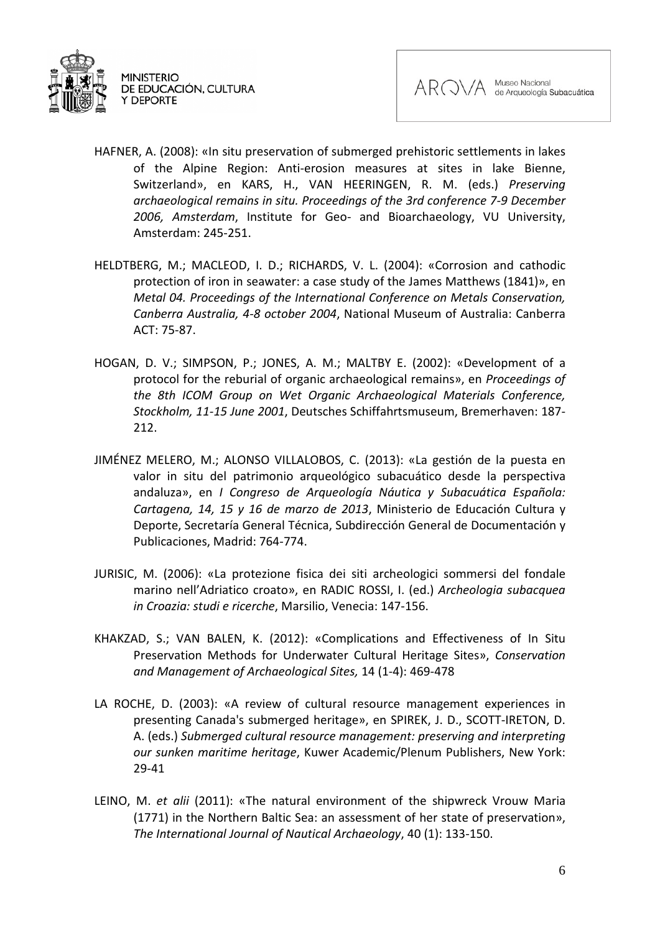

- HAFNER, A. (2008): «In situ preservation of submerged prehistoric settlements in lakes of the Alpine Region: Anti-erosion measures at sites in lake Bienne, Switzerland», en KARS, H., VAN HEERINGEN, R. M. (eds.) *Preserving archaeological remains in situ. Proceedings of the 3rd conference 7-9 December 2006, Amsterdam*, Institute for Geo- and Bioarchaeology, VU University, Amsterdam: 245-251.
- HELDTBERG, M.; MACLEOD, I. D.; RICHARDS, V. L. (2004): «Corrosion and cathodic protection of iron in seawater: a case study of the James Matthews (1841)», en *Metal 04. Proceedings of the International Conference on Metals Conservation, Canberra Australia, 4-8 october 2004*, National Museum of Australia: Canberra ACT: 75-87.
- HOGAN, D. V.; SIMPSON, P.; JONES, A. M.; MALTBY E. (2002): «Development of a protocol for the reburial of organic archaeological remains», en *Proceedings of the 8th ICOM Group on Wet Organic Archaeological Materials Conference, Stockholm, 11-15 June 2001*, Deutsches Schiffahrtsmuseum, Bremerhaven: 187- 212.
- JIMÉNEZ MELERO, M.; ALONSO VILLALOBOS, C. (2013): «La gestión de la puesta en valor in situ del patrimonio arqueológico subacuático desde la perspectiva andaluza», en *I Congreso de Arqueología Náutica y Subacuática Española: Cartagena, 14, 15 y 16 de marzo de 2013*, Ministerio de Educación Cultura y Deporte, Secretaría General Técnica, Subdirección General de Documentación y Publicaciones, Madrid: 764-774.
- JURISIC, M. (2006): «La protezione fisica dei siti archeologici sommersi del fondale marino nell'Adriatico croato», en RADIC ROSSI, I. (ed.) *Archeologia subacquea in Croazia: studi e ricerche*, Marsilio, Venecia: 147-156.
- KHAKZAD, S.; VAN BALEN, K. (2012): «Complications and Effectiveness of In Situ Preservation Methods for Underwater Cultural Heritage Sites», *Conservation and Management of Archaeological Sites,* 14 (1-4): 469-478
- LA ROCHE, D. (2003): «A review of cultural resource management experiences in presenting Canada's submerged heritage», en SPIREK, J. D., SCOTT-IRETON, D. A. (eds.) *Submerged cultural resource management: preserving and interpreting our sunken maritime heritage*, Kuwer Academic/Plenum Publishers, New York: 29-41
- LEINO, M. *et alii* (2011): «The natural environment of the shipwreck Vrouw Maria (1771) in the Northern Baltic Sea: an assessment of her state of preservation», *The International Journal of Nautical Archaeology*, 40 (1): 133-150.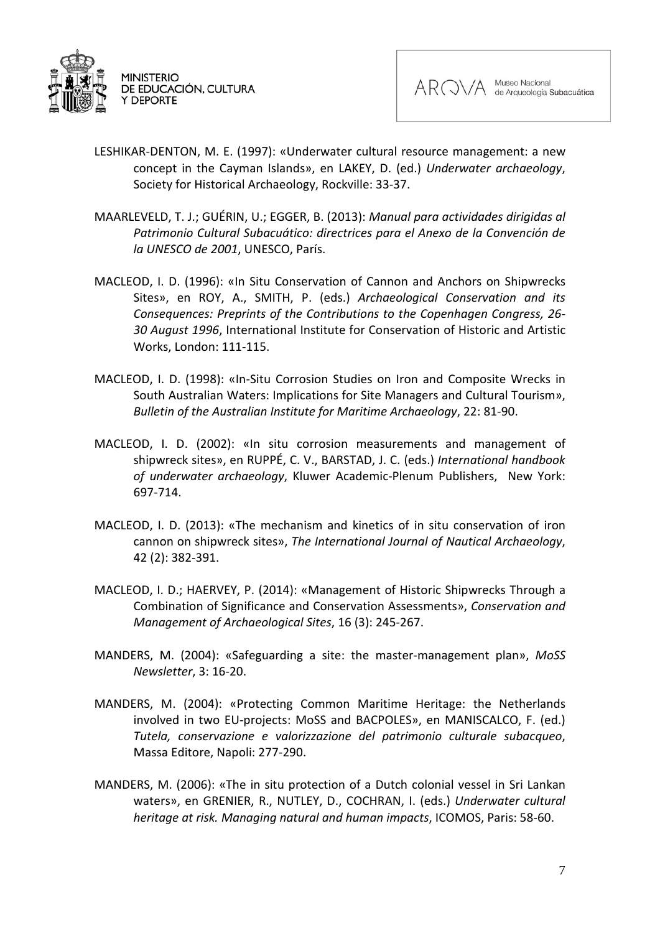



- LESHIKAR-DENTON, M. E. (1997): «Underwater cultural resource management: a new concept in the Cayman Islands», en LAKEY, D. (ed.) *Underwater archaeology*, Society for Historical Archaeology, Rockville: 33-37.
- MAARLEVELD, T. J.; GUÉRIN, U.; EGGER, B. (2013): *Manual para actividades dirigidas al Patrimonio Cultural Subacuático: directrices para el Anexo de la Convención de la UNESCO de 2001*, UNESCO, París.
- MACLEOD, I. D. (1996): «In Situ Conservation of Cannon and Anchors on Shipwrecks Sites», en ROY, A., SMITH, P. (eds.) *Archaeological Conservation and its Consequences: Preprints of the Contributions to the Copenhagen Congress, 26- 30 August 1996*, International Institute for Conservation of Historic and Artistic Works, London: 111-115.
- MACLEOD, I. D. (1998): «In-Situ Corrosion Studies on Iron and Composite Wrecks in South Australian Waters: Implications for Site Managers and Cultural Tourism», *Bulletin of the Australian Institute for Maritime Archaeology*, 22: 81-90.
- MACLEOD, I. D. (2002): «In situ corrosion measurements and management of shipwreck sites», en RUPPÉ, C. V., BARSTAD, J. C. (eds.) *International handbook of underwater archaeology*, Kluwer Academic-Plenum Publishers, New York: 697-714.
- MACLEOD, I. D. (2013): «The mechanism and kinetics of in situ conservation of iron cannon on shipwreck sites», *The International Journal of Nautical Archaeology*, 42 (2): 382-391.
- MACLEOD, I. D.; HAERVEY, P. (2014): «Management of Historic Shipwrecks Through a Combination of Significance and Conservation Assessments», *Conservation and Management of Archaeological Sites*, 16 (3): 245-267.
- MANDERS, M. (2004): «Safeguarding a site: the master-management plan», *MoSS Newsletter*, 3: 16-20.
- MANDERS, M. (2004): «Protecting Common Maritime Heritage: the Netherlands involved in two EU-projects: MoSS and BACPOLES», en MANISCALCO, F. (ed.) *Tutela, conservazione e valorizzazione del patrimonio culturale subacqueo*, Massa Editore, Napoli: 277-290.
- MANDERS, M. (2006): «The in situ protection of a Dutch colonial vessel in Sri Lankan waters», en GRENIER, R., NUTLEY, D., COCHRAN, I. (eds.) *Underwater cultural heritage at risk. Managing natural and human impacts*, ICOMOS, Paris: 58-60.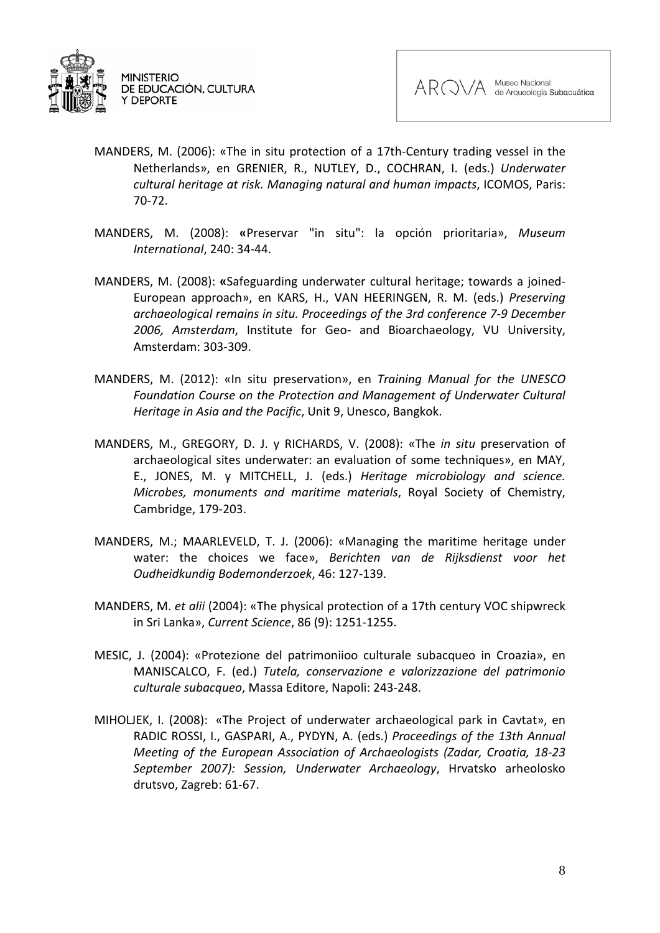



- MANDERS, M. (2006): «The in situ protection of a 17th-Century trading vessel in the Netherlands», en GRENIER, R., NUTLEY, D., COCHRAN, I. (eds.) *Underwater cultural heritage at risk. Managing natural and human impacts*, ICOMOS, Paris: 70-72.
- MANDERS, M. (2008): **«**Preservar "in situ": la opción prioritaria», *Museum International*, 240: 34-44.
- MANDERS, M. (2008): **«**Safeguarding underwater cultural heritage; towards a joined-European approach», en KARS, H., VAN HEERINGEN, R. M. (eds.) *Preserving archaeological remains in situ. Proceedings of the 3rd conference 7-9 December 2006, Amsterdam*, Institute for Geo- and Bioarchaeology, VU University, Amsterdam: 303-309.
- MANDERS, M. (2012): «In situ preservation», en *Training Manual for the UNESCO Foundation Course on the Protection and Management of Underwater Cultural Heritage in Asia and the Pacific*, Unit 9, Unesco, Bangkok.
- MANDERS, M., GREGORY, D. J. y RICHARDS, V. (2008): «The *in situ* preservation of archaeological sites underwater: an evaluation of some techniques», en MAY, E., JONES, M. y MITCHELL, J. (eds.) *Heritage microbiology and science. Microbes, monuments and maritime materials*, Royal Society of Chemistry, Cambridge, 179-203.
- MANDERS, M.; MAARLEVELD, T. J. (2006): «Managing the maritime heritage under water: the choices we face», *Berichten van de Rijksdienst voor het Oudheidkundig Bodemonderzoek*, 46: 127-139.
- MANDERS, M. *et alii* (2004): «The physical protection of a 17th century VOC shipwreck in Sri Lanka», *Current Science*, 86 (9): 1251-1255.
- MESIC, J. (2004): «Protezione del patrimoniioo culturale subacqueo in Croazia», en MANISCALCO, F. (ed.) *Tutela, conservazione e valorizzazione del patrimonio culturale subacqueo*, Massa Editore, Napoli: 243-248.
- MIHOLJEK, I. (2008): «The Project of underwater archaeological park in Cavtat», en RADIC ROSSI, I., GASPARI, A., PYDYN, A. (eds.) *Proceedings of the 13th Annual Meeting of the European Association of Archaeologists (Zadar, Croatia, 18-23 September 2007): Session, Underwater Archaeology*, Hrvatsko arheolosko drutsvo, Zagreb: 61-67.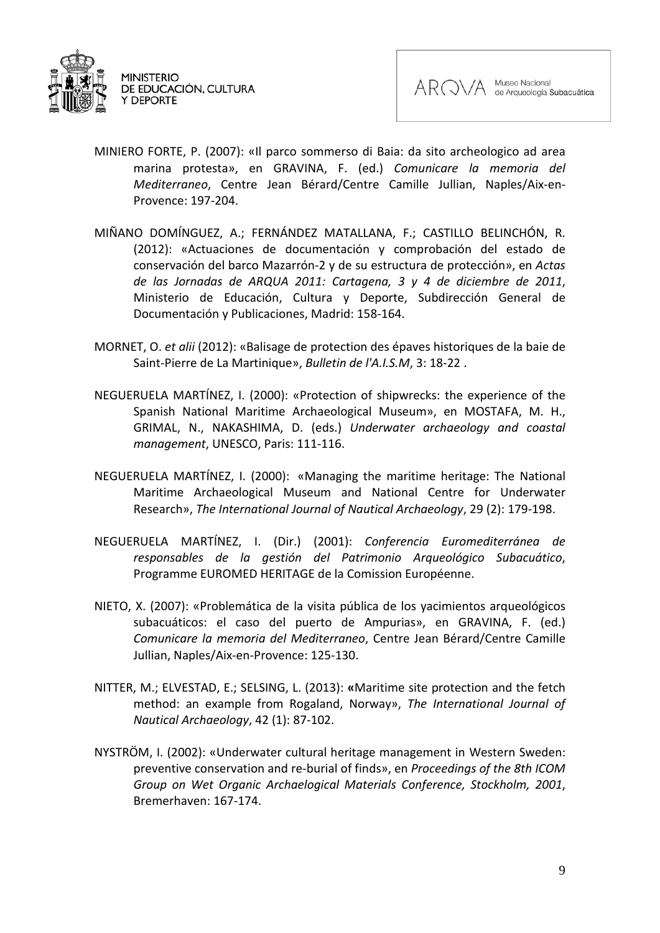



- MINIERO FORTE, P. (2007): «Il parco sommerso di Baia: da sito archeologico ad area marina protesta», en GRAVINA, F. (ed.) *Comunicare la memoria del Mediterraneo*, Centre Jean Bérard/Centre Camille Jullian, Naples/Aix-en-Provence: 197-204.
- MIÑANO DOMÍNGUEZ, A.; FERNÁNDEZ MATALLANA, F.; CASTILLO BELINCHÓN, R. (2012): «Actuaciones de documentación y comprobación del estado de conservación del barco Mazarrón-2 y de su estructura de protección», en *Actas de las Jornadas de ARQUA 2011: Cartagena, 3 y 4 de diciembre de 2011*, Ministerio de Educación, Cultura y Deporte, Subdirección General de Documentación y Publicaciones, Madrid: 158-164.
- MORNET, O. *et alii* (2012): «Balisage de protection des épaves historiques de la baie de Saint-Pierre de La Martinique», *[Bulletin de l'A.I.S.M](http://www.refdoc.fr/?traduire=en&FormRechercher=submit&FormRechercher_Txt_Recherche_name_attr=listeTitreSerie:%20(Bulletin%20de%20l)*, 3: 18-22 .
- NEGUERUELA MARTÍNEZ, I. (2000): «Protection of shipwrecks: the experience of the Spanish National Maritime Archaeological Museum», en MOSTAFA, M. H., GRIMAL, N., NAKASHIMA, D. (eds.) *Underwater archaeology and coastal management*, UNESCO, Paris: 111-116.
- NEGUERUELA MARTÍNEZ, I. (2000): «Managing the maritime heritage: The National Maritime Archaeological Museum and National Centre for Underwater Research», *The International Journal of Nautical Archaeology*, 29 (2): 179-198.
- NEGUERUELA MARTÍNEZ, I. (Dir.) (2001): *Conferencia Euromediterránea de responsables de la gestión del Patrimonio Arqueológico Subacuático*, Programme EUROMED HERITAGE de la Comission Européenne.
- NIETO, X. (2007): «Problemática de la visita pública de los yacimientos arqueológicos subacuáticos: el caso del puerto de Ampurias», en GRAVINA, F. (ed.) *Comunicare la memoria del Mediterraneo*, Centre Jean Bérard/Centre Camille Jullian, Naples/Aix-en-Provence: 125-130.
- NITTER, M.; ELVESTAD, E.; SELSING, L. (2013): **«**Maritime site protection and the fetch method: an example from Rogaland, Norway», *The International Journal of Nautical Archaeology*, 42 (1): 87-102.
- NYSTRÖM, I. (2002): «Underwater cultural heritage management in Western Sweden: preventive conservation and re-burial of finds», en *Proceedings of the 8th ICOM Group on Wet Organic Archaelogical Materials Conference, Stockholm, 2001*, Bremerhaven: 167-174.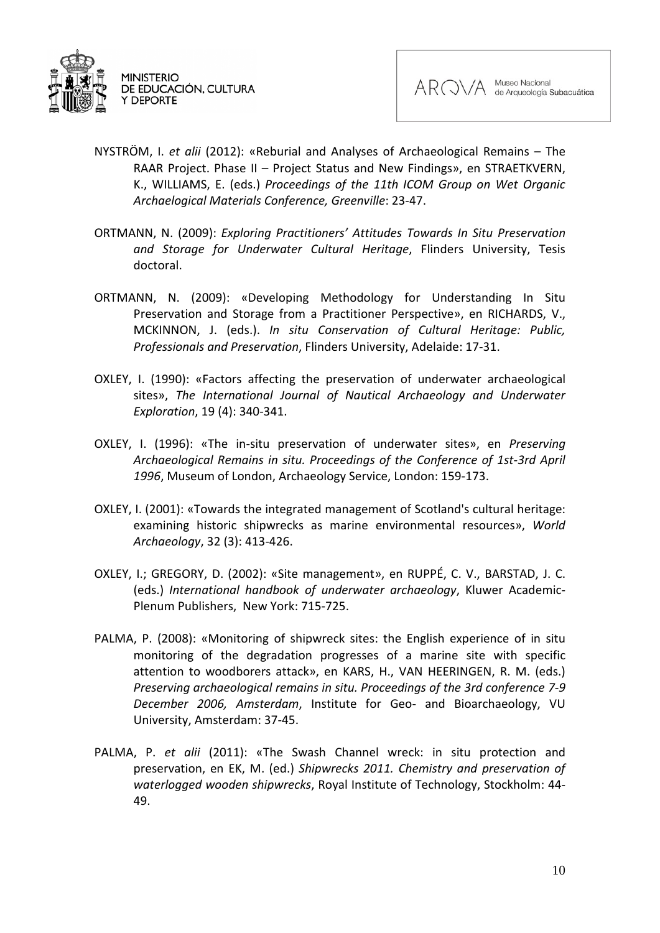



- NYSTRÖM, I. *et alii* (2012): «Reburial and Analyses of Archaeological Remains The RAAR Project. Phase II – Project Status and New Findings», en STRAETKVERN, K., WILLIAMS, E. (eds.) *Proceedings of the 11th ICOM Group on Wet Organic Archaelogical Materials Conference, Greenville*: 23-47.
- ORTMANN, N. (2009): *Exploring Practitioners' Attitudes Towards In Situ Preservation and Storage for Underwater Cultural Heritage*, Flinders University, Tesis doctoral.
- ORTMANN, N. (2009): «Developing Methodology for Understanding In Situ Preservation and Storage from a Practitioner Perspective», en RICHARDS, V., MCKINNON, J. (eds.). *In situ Conservation of Cultural Heritage: Public, Professionals and Preservation*, Flinders University, Adelaide: 17-31.
- OXLEY, I. (1990): «Factors affecting the preservation of underwater archaeological sites», *The International Journal of Nautical Archaeology and Underwater Exploration*, 19 (4): 340-341.
- OXLEY, I. (1996): «The in-situ preservation of underwater sites», en *Preserving Archaeological Remains in situ. Proceedings of the Conference of 1st-3rd April 1996*, Museum of London, Archaeology Service, London: 159-173.
- OXLEY, I. (2001): «Towards the integrated management of Scotland's cultural heritage: examining historic shipwrecks as marine environmental resources», *World Archaeology*, 32 (3): 413-426.
- OXLEY, I.; GREGORY, D. (2002): «Site management», en RUPPÉ, C. V., BARSTAD, J. C. (eds.) *International handbook of underwater archaeology*, Kluwer Academic-Plenum Publishers, New York: 715-725.
- PALMA, P. (2008): «Monitoring of shipwreck sites: the English experience of in situ monitoring of the degradation progresses of a marine site with specific attention to woodborers attack», en KARS, H., VAN HEERINGEN, R. M. (eds.) *Preserving archaeological remains in situ. Proceedings of the 3rd conference 7-9 December 2006, Amsterdam*, Institute for Geo- and Bioarchaeology, VU University, Amsterdam: 37-45.
- PALMA, P. *et alii* (2011): «The Swash Channel wreck: in situ protection and preservation, en EK, M. (ed.) *Shipwrecks 2011. Chemistry and preservation of waterlogged wooden shipwrecks*, Royal Institute of Technology, Stockholm: 44- 49.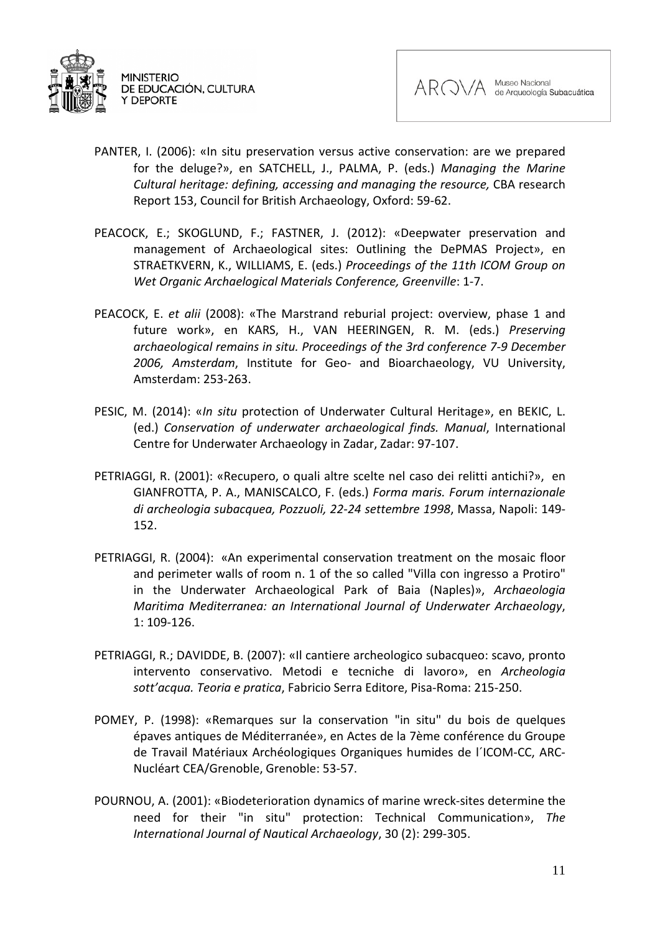



- PANTER, I. (2006): «In situ preservation versus active conservation: are we prepared for the deluge?», en SATCHELL, J., PALMA, P. (eds.) *Managing the Marine Cultural heritage: defining, accessing and managing the resource,* CBA research Report 153, Council for British Archaeology, Oxford: 59-62.
- PEACOCK, E.; SKOGLUND, F.; FASTNER, J. (2012): «Deepwater preservation and management of Archaeological sites: Outlining the DePMAS Project», en STRAETKVERN, K., WILLIAMS, E. (eds.) *Proceedings of the 11th ICOM Group on Wet Organic Archaelogical Materials Conference, Greenville*: 1-7.
- PEACOCK, E. *et alii* (2008): «The Marstrand reburial project: overview, phase 1 and future work», en KARS, H., VAN HEERINGEN, R. M. (eds.) *Preserving archaeological remains in situ. Proceedings of the 3rd conference 7-9 December 2006, Amsterdam*, Institute for Geo- and Bioarchaeology, VU University, Amsterdam: 253-263.
- PESIC, M. (2014): «*In situ* protection of Underwater Cultural Heritage», en BEKIC, L. (ed.) *Conservation of underwater archaeological finds. Manual*, International Centre for Underwater Archaeology in Zadar, Zadar: 97-107.
- PETRIAGGI, R. (2001): «Recupero, o quali altre scelte nel caso dei relitti antichi?», en GIANFROTTA, P. A., MANISCALCO, F. (eds.) *Forma maris. Forum internazionale di archeologia subacquea, Pozzuoli, 22-24 settembre 1998*, Massa, Napoli: 149- 152.
- PETRIAGGI, R. (2004): «An experimental conservation treatment on the mosaic floor and perimeter walls of room n. 1 of the so called "Villa con ingresso a Protiro" in the Underwater Archaeological Park of Baia (Naples)», *Archaeologia Maritima Mediterranea: an International Journal of Underwater Archaeology*, 1: 109-126.
- PETRIAGGI, R.; DAVIDDE, B. (2007): «Il cantiere archeologico subacqueo: scavo, pronto intervento conservativo. Metodi e tecniche di lavoro», en *Archeologia sott'acqua. Teoria e pratica*, Fabricio Serra Editore, Pisa-Roma: 215-250.
- POMEY, P. (1998): «Remarques sur la conservation "in situ" du bois de quelques épaves antiques de Méditerranée», en Actes de la 7ème conférence du Groupe de Travail Matériaux Archéologiques Organiques humides de l´ICOM-CC, ARC-Nucléart CEA/Grenoble, Grenoble: 53-57.
- POURNOU, A. (2001): «Biodeterioration dynamics of marine wreck-sites determine the need for their "in situ" protection: Technical Communication», *The International Journal of Nautical Archaeology*, 30 (2): 299-305.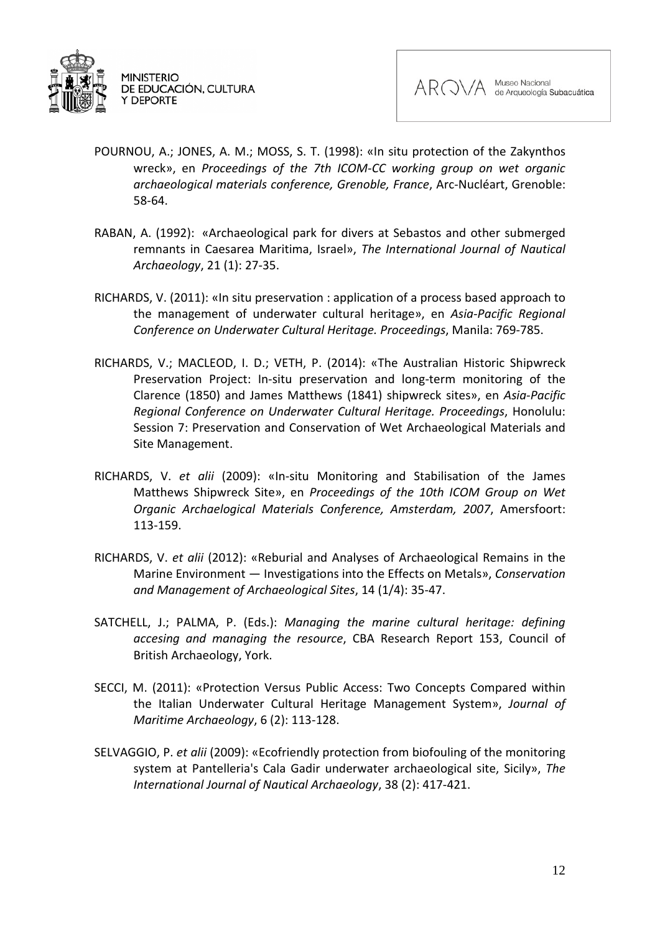



- POURNOU, A.; JONES, A. M.; MOSS, S. T. (1998): «In situ protection of the Zakynthos wreck», en *Proceedings of the 7th ICOM-CC working group on wet organic archaeological materials conference, Grenoble, France*, Arc-Nucléart, Grenoble: 58-64.
- RABAN, A. (1992): «Archaeological park for divers at Sebastos and other submerged remnants in Caesarea Maritima, Israel», *The International Journal of Nautical Archaeology*, 21 (1): 27-35.
- RICHARDS, V. (2011): «In situ preservation : application of a process based approach to the management of underwater cultural heritage», en *Asia-Pacific Regional Conference on Underwater Cultural Heritage. Proceedings*, Manila: 769-785.
- RICHARDS, V.; MACLEOD, I. D.; VETH, P. (2014): «The Australian Historic Shipwreck Preservation Project: In-situ preservation and long-term monitoring of the Clarence (1850) and James Matthews (1841) shipwreck sites», en *Asia-Pacific Regional Conference on Underwater Cultural Heritage. Proceedings*, Honolulu: Session 7: Preservation and Conservation of Wet Archaeological Materials and Site Management.
- RICHARDS, V. *et alii* (2009): «In-situ Monitoring and Stabilisation of the James Matthews Shipwreck Site», en *Proceedings of the 10th ICOM Group on Wet Organic Archaelogical Materials Conference, Amsterdam, 2007*, Amersfoort: 113-159.
- RICHARDS, V. *et alii* (2012): «Reburial and Analyses of Archaeological Remains in the Marine Environment — Investigations into the Effects on Metals», *Conservation and Management of Archaeological Sites*, 14 (1/4): 35-47.
- SATCHELL, J.; PALMA, P. (Eds.): *Managing the marine cultural heritage: defining accesing and managing the resource*, CBA Research Report 153, Council of British Archaeology, York.
- SECCI, M. (2011): «Protection Versus Public Access: Two Concepts Compared within the Italian Underwater Cultural Heritage Management System», *Journal of Maritime Archaeology*, 6 (2): 113-128.
- SELVAGGIO, P. *et alii* (2009): «Ecofriendly protection from biofouling of the monitoring system at Pantelleria's Cala Gadir underwater archaeological site, Sicily», *The International Journal of Nautical Archaeology*, 38 (2): 417-421.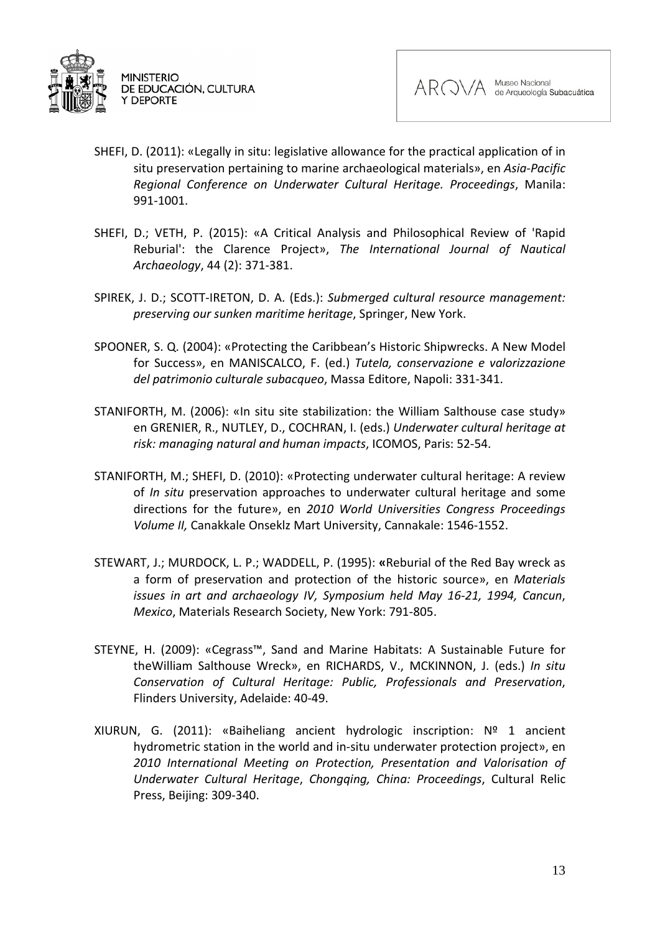



- SHEFI, D. (2011): «Legally in situ: legislative allowance for the practical application of in situ preservation pertaining to marine archaeological materials», en *Asia-Pacific Regional Conference on Underwater Cultural Heritage. Proceedings*, Manila: 991-1001.
- SHEFI, D.; VETH, P. (2015): «A Critical Analysis and Philosophical Review of 'Rapid Reburial': the Clarence Project», *The International Journal of Nautical Archaeology*, 44 (2): 371-381.
- SPIREK, J. D.; SCOTT-IRETON, D. A. (Eds.): *Submerged cultural resource management: preserving our sunken maritime heritage*, Springer, New York.
- SPOONER, S. Q. (2004): «Protecting the Caribbean's Historic Shipwrecks. A New Model for Success», en MANISCALCO, F. (ed.) *Tutela, conservazione e valorizzazione del patrimonio culturale subacqueo*, Massa Editore, Napoli: 331-341.
- STANIFORTH, M. (2006): «In situ site stabilization: the William Salthouse case study» en GRENIER, R., NUTLEY, D., COCHRAN, I. (eds.) *Underwater cultural heritage at risk: managing natural and human impacts*, ICOMOS, Paris: 52-54.
- STANIFORTH, M.; SHEFI, D. (2010): «Protecting underwater cultural heritage: A review of *In situ* preservation approaches to underwater cultural heritage and some directions for the future», en *2010 World Universities Congress Proceedings Volume II,* Canakkale Onseklz Mart University, Cannakale: 1546-1552.
- STEWART, J.; MURDOCK, L. P.; WADDELL, P. (1995): **«**Reburial of the Red Bay wreck as a form of preservation and protection of the historic source», en *Materials issues in art and archaeology IV, Symposium held May 16-21, 1994, Cancun*, *Mexico*, Materials Research Society, New York: 791-805.
- STEYNE, H. (2009): «Cegrass™, Sand and Marine Habitats: A Sustainable Future for theWilliam Salthouse Wreck», en RICHARDS, V., MCKINNON, J. (eds.) *In situ Conservation of Cultural Heritage: Public, Professionals and Preservation*, Flinders University, Adelaide: 40-49.
- XIURUN, G. (2011): «Baiheliang ancient hydrologic inscription: Nº 1 ancient hydrometric station in the world and in-situ underwater protection project», en *2010 International Meeting on Protection, Presentation and Valorisation of Underwater Cultural Heritage*, *Chongqing, China: Proceedings*, Cultural Relic Press, Beijing: 309-340.